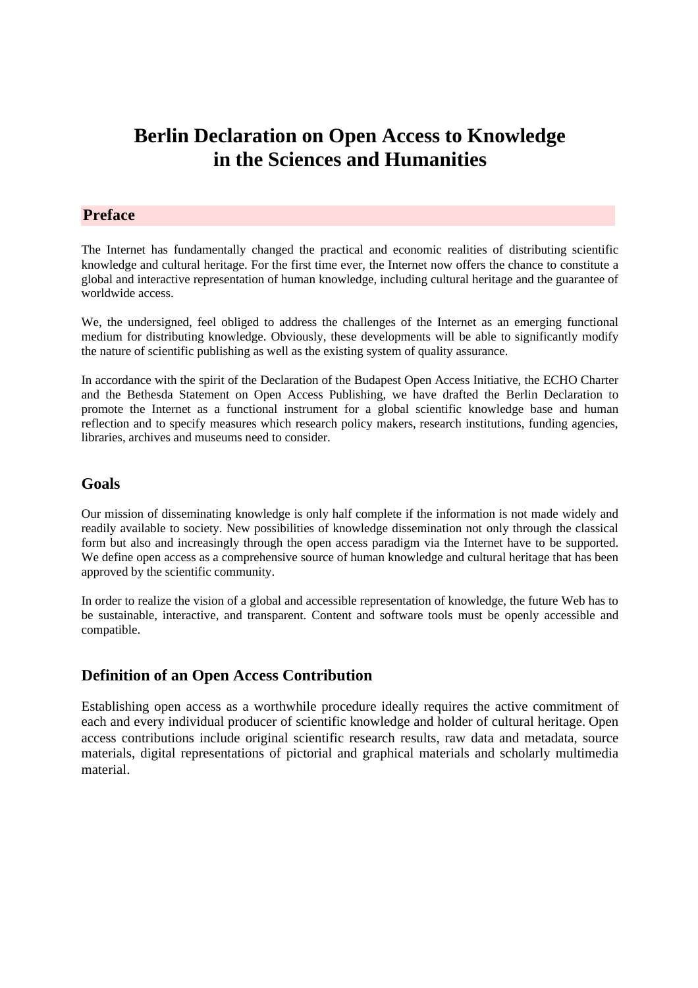# **Berlin Declaration on Open Access to Knowledge in the Sciences and Humanities**

#### **Preface**

The Internet has fundamentally changed the practical and economic realities of distributing scientific knowledge and cultural heritage. For the first time ever, the Internet now offers the chance to constitute a global and interactive representation of human knowledge, including cultural heritage and the guarantee of worldwide access.

We, the undersigned, feel obliged to address the challenges of the Internet as an emerging functional medium for distributing knowledge. Obviously, these developments will be able to significantly modify the nature of scientific publishing as well as the existing system of quality assurance.

In accordance with the spirit of the Declaration of the Budapest Open Access Initiative, the ECHO Charter and the Bethesda Statement on Open Access Publishing, we have drafted the Berlin Declaration to promote the Internet as a functional instrument for a global scientific knowledge base and human reflection and to specify measures which research policy makers, research institutions, funding agencies, libraries, archives and museums need to consider.

#### **Goals**

Our mission of disseminating knowledge is only half complete if the information is not made widely and readily available to society. New possibilities of knowledge dissemination not only through the classical form but also and increasingly through the open access paradigm via the Internet have to be supported. We define open access as a comprehensive source of human knowledge and cultural heritage that has been approved by the scientific community.

In order to realize the vision of a global and accessible representation of knowledge, the future Web has to be sustainable, interactive, and transparent. Content and software tools must be openly accessible and compatible.

### **Definition of an Open Access Contribution**

Establishing open access as a worthwhile procedure ideally requires the active commitment of each and every individual producer of scientific knowledge and holder of cultural heritage. Open access contributions include original scientific research results, raw data and metadata, source materials, digital representations of pictorial and graphical materials and scholarly multimedia material.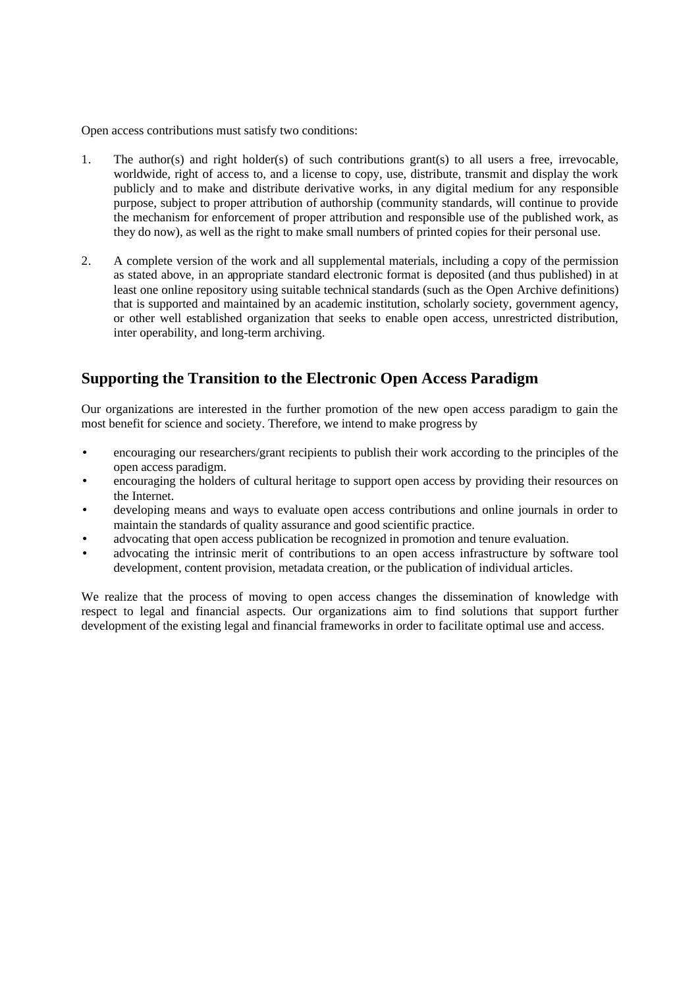Open access contributions must satisfy two conditions:

- 1. The author(s) and right holder(s) of such contributions grant(s) to all users a free, irrevocable, worldwide, right of access to, and a license to copy, use, distribute, transmit and display the work publicly and to make and distribute derivative works, in any digital medium for any responsible purpose, subject to proper attribution of authorship (community standards, will continue to provide the mechanism for enforcement of proper attribution and responsible use of the published work, as they do now), as well as the right to make small numbers of printed copies for their personal use.
- 2. A complete version of the work and all supplemental materials, including a copy of the permission as stated above, in an appropriate standard electronic format is deposited (and thus published) in at least one online repository using suitable technical standards (such as the Open Archive definitions) that is supported and maintained by an academic institution, scholarly society, government agency, or other well established organization that seeks to enable open access, unrestricted distribution, inter operability, and long-term archiving.

### **Supporting the Transition to the Electronic Open Access Paradigm**

Our organizations are interested in the further promotion of the new open access paradigm to gain the most benefit for science and society. Therefore, we intend to make progress by

- encouraging our researchers/grant recipients to publish their work according to the principles of the open access paradigm.
- encouraging the holders of cultural heritage to support open access by providing their resources on the Internet.
- developing means and ways to evaluate open access contributions and online journals in order to maintain the standards of quality assurance and good scientific practice.
- advocating that open access publication be recognized in promotion and tenure evaluation.
- advocating the intrinsic merit of contributions to an open access infrastructure by software tool development, content provision, metadata creation, or the publication of individual articles.

We realize that the process of moving to open access changes the dissemination of knowledge with respect to legal and financial aspects. Our organizations aim to find solutions that support further development of the existing legal and financial frameworks in order to facilitate optimal use and access.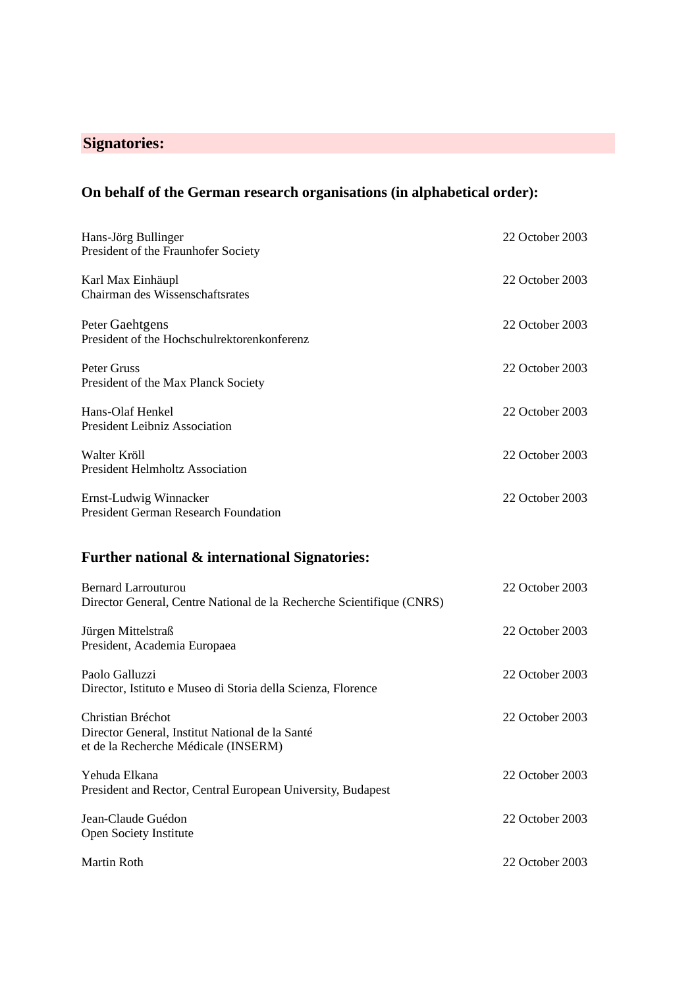# **Signatories:**

# **On behalf of the German research organisations (in alphabetical order):**

| Hans-Jörg Bullinger<br>President of the Fraunhofer Society                                                   | 22 October 2003 |
|--------------------------------------------------------------------------------------------------------------|-----------------|
| Karl Max Einhäupl<br>Chairman des Wissenschaftsrates                                                         | 22 October 2003 |
| Peter Gaehtgens<br>President of the Hochschulrektorenkonferenz                                               | 22 October 2003 |
| Peter Gruss<br>President of the Max Planck Society                                                           | 22 October 2003 |
| Hans-Olaf Henkel<br>President Leibniz Association                                                            | 22 October 2003 |
| Walter Kröll<br><b>President Helmholtz Association</b>                                                       | 22 October 2003 |
| Ernst-Ludwig Winnacker<br><b>President German Research Foundation</b>                                        | 22 October 2003 |
| <b>Further national &amp; international Signatories:</b>                                                     |                 |
| <b>Bernard Larrouturou</b><br>Director General, Centre National de la Recherche Scientifique (CNRS)          | 22 October 2003 |
| Jürgen Mittelstraß<br>President, Academia Europaea                                                           | 22 October 2003 |
| Paolo Galluzzi<br>Director, Istituto e Museo di Storia della Scienza, Florence                               | 22 October 2003 |
| Christian Bréchot<br>Director General, Institut National de la Santé<br>et de la Recherche Médicale (INSERM) | 22 October 2003 |
| Yehuda Elkana                                                                                                |                 |
| President and Rector, Central European University, Budapest                                                  | 22 October 2003 |
| Jean-Claude Guédon<br>Open Society Institute                                                                 | 22 October 2003 |